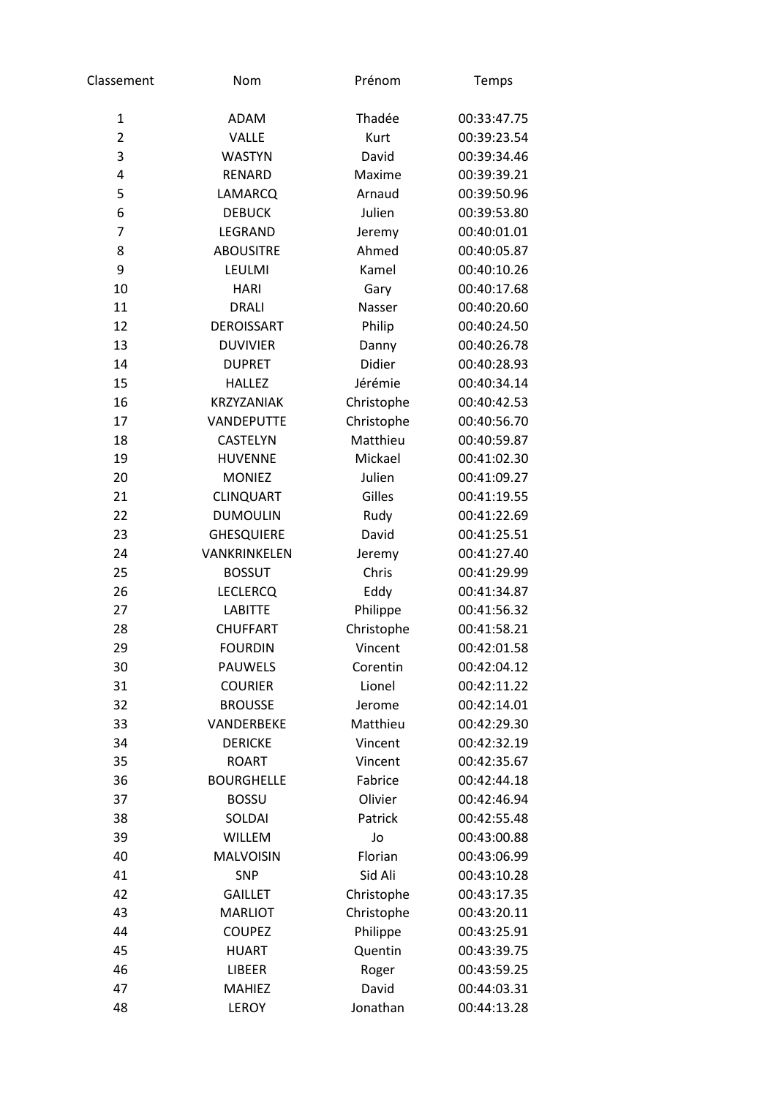| Classement     | Nom               | Prénom      | Temps       |
|----------------|-------------------|-------------|-------------|
| $\mathbf{1}$   | <b>ADAM</b>       | Thadée      | 00:33:47.75 |
| $\overline{2}$ | <b>VALLE</b>      | <b>Kurt</b> | 00:39:23.54 |
| 3              | <b>WASTYN</b>     | David       | 00:39:34.46 |
| 4              | RENARD            | Maxime      | 00:39:39.21 |
| 5              | <b>LAMARCQ</b>    | Arnaud      | 00:39:50.96 |
| 6              | <b>DEBUCK</b>     | Julien      | 00:39:53.80 |
| 7              | LEGRAND           | Jeremy      | 00:40:01.01 |
| 8              | <b>ABOUSITRE</b>  | Ahmed       | 00:40:05.87 |
| 9              | LEULMI            | Kamel       | 00:40:10.26 |
| 10             | <b>HARI</b>       | Gary        | 00:40:17.68 |
| 11             | <b>DRALI</b>      | Nasser      | 00:40:20.60 |
| 12             | <b>DEROISSART</b> | Philip      | 00:40:24.50 |
| 13             | <b>DUVIVIER</b>   | Danny       | 00:40:26.78 |
| 14             | <b>DUPRET</b>     | Didier      | 00:40:28.93 |
| 15             | <b>HALLEZ</b>     | Jérémie     | 00:40:34.14 |
| 16             | <b>KRZYZANIAK</b> | Christophe  | 00:40:42.53 |
| 17             | <b>VANDEPUTTE</b> | Christophe  | 00:40:56.70 |
| 18             | <b>CASTELYN</b>   | Matthieu    | 00:40:59.87 |
| 19             | <b>HUVENNE</b>    | Mickael     | 00:41:02.30 |
| 20             | <b>MONIEZ</b>     | Julien      | 00:41:09.27 |
| 21             | <b>CLINQUART</b>  | Gilles      | 00:41:19.55 |
| 22             | <b>DUMOULIN</b>   | Rudy        | 00:41:22.69 |
| 23             | <b>GHESQUIERE</b> | David       | 00:41:25.51 |
| 24             | VANKRINKELEN      | Jeremy      | 00:41:27.40 |
| 25             | <b>BOSSUT</b>     | Chris       | 00:41:29.99 |
| 26             | <b>LECLERCQ</b>   | Eddy        | 00:41:34.87 |
| 27             | <b>LABITTE</b>    | Philippe    | 00:41:56.32 |
| 28             | <b>CHUFFART</b>   | Christophe  | 00:41:58.21 |
| 29             | <b>FOURDIN</b>    | Vincent     | 00:42:01.58 |
| 30             | <b>PAUWELS</b>    | Corentin    | 00:42:04.12 |
| 31             | <b>COURIER</b>    | Lionel      | 00:42:11.22 |
| 32             | <b>BROUSSE</b>    | Jerome      | 00:42:14.01 |
| 33             | VANDERBEKE        | Matthieu    | 00:42:29.30 |
| 34             | <b>DERICKE</b>    | Vincent     | 00:42:32.19 |
| 35             | <b>ROART</b>      | Vincent     | 00:42:35.67 |
| 36             | <b>BOURGHELLE</b> | Fabrice     | 00:42:44.18 |
| 37             | <b>BOSSU</b>      | Olivier     | 00:42:46.94 |
| 38             | SOLDAI            | Patrick     | 00:42:55.48 |
| 39             | <b>WILLEM</b>     | Jo          | 00:43:00.88 |
| 40             | <b>MALVOISIN</b>  | Florian     | 00:43:06.99 |
| 41             | <b>SNP</b>        | Sid Ali     | 00:43:10.28 |
| 42             | <b>GAILLET</b>    | Christophe  | 00:43:17.35 |
| 43             | <b>MARLIOT</b>    | Christophe  | 00:43:20.11 |
| 44             | <b>COUPEZ</b>     | Philippe    | 00:43:25.91 |
| 45             | <b>HUART</b>      | Quentin     | 00:43:39.75 |
| 46             | <b>LIBEER</b>     | Roger       | 00:43:59.25 |
| 47             | <b>MAHIEZ</b>     | David       | 00:44:03.31 |
| 48             | <b>LEROY</b>      | Jonathan    | 00:44:13.28 |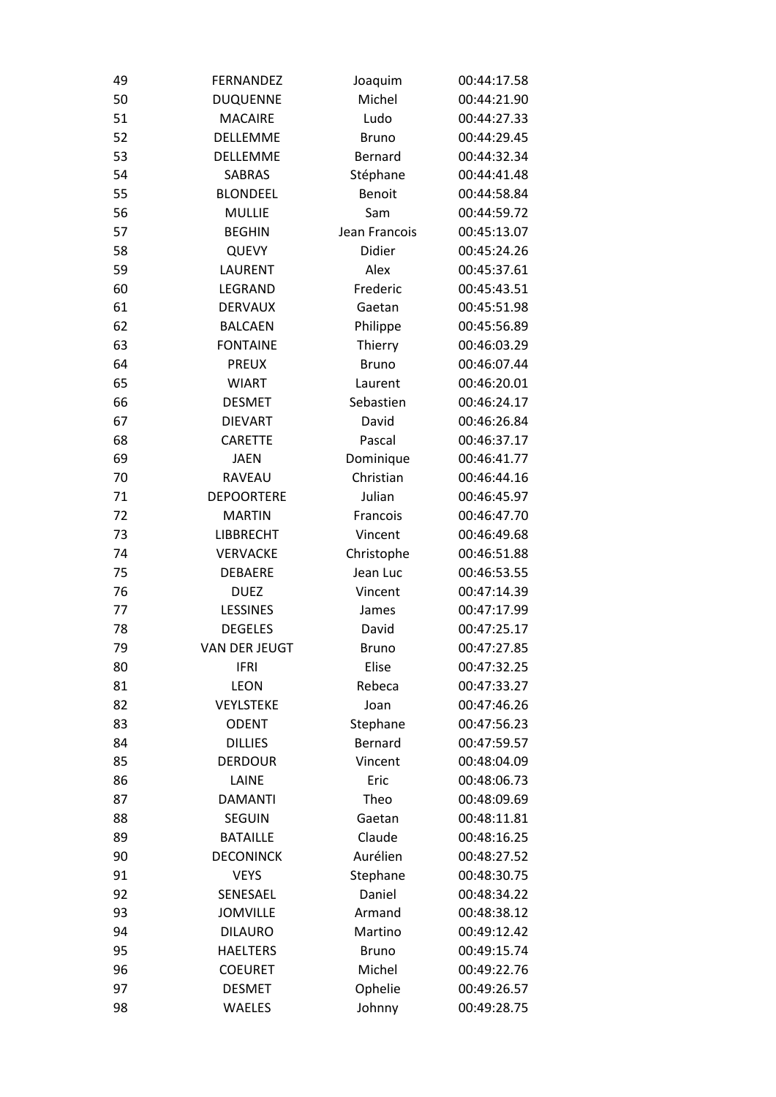| 49 | <b>FERNANDEZ</b>  | Joaquim        | 00:44:17.58 |
|----|-------------------|----------------|-------------|
| 50 | <b>DUQUENNE</b>   | Michel         | 00:44:21.90 |
| 51 | <b>MACAIRE</b>    | Ludo           | 00:44:27.33 |
| 52 | DELLEMME          | <b>Bruno</b>   | 00:44:29.45 |
| 53 | <b>DELLEMME</b>   | Bernard        | 00:44:32.34 |
| 54 | <b>SABRAS</b>     | Stéphane       | 00:44:41.48 |
| 55 | <b>BLONDEEL</b>   | <b>Benoit</b>  | 00:44:58.84 |
| 56 | <b>MULLIE</b>     | Sam            | 00:44:59.72 |
| 57 | <b>BEGHIN</b>     | Jean Francois  | 00:45:13.07 |
| 58 | <b>QUEVY</b>      | Didier         | 00:45:24.26 |
| 59 | LAURENT           | Alex           | 00:45:37.61 |
| 60 | LEGRAND           | Frederic       | 00:45:43.51 |
| 61 | <b>DERVAUX</b>    | Gaetan         | 00:45:51.98 |
| 62 | <b>BALCAEN</b>    | Philippe       | 00:45:56.89 |
| 63 | <b>FONTAINE</b>   | Thierry        | 00:46:03.29 |
| 64 | <b>PREUX</b>      | <b>Bruno</b>   | 00:46:07.44 |
| 65 | <b>WIART</b>      | Laurent        | 00:46:20.01 |
| 66 | <b>DESMET</b>     | Sebastien      | 00:46:24.17 |
| 67 | <b>DIEVART</b>    | David          | 00:46:26.84 |
| 68 | <b>CARETTE</b>    | Pascal         | 00:46:37.17 |
| 69 | <b>JAEN</b>       | Dominique      | 00:46:41.77 |
| 70 | RAVEAU            | Christian      | 00:46:44.16 |
| 71 | <b>DEPOORTERE</b> | Julian         | 00:46:45.97 |
| 72 | <b>MARTIN</b>     | Francois       | 00:46:47.70 |
| 73 | <b>LIBBRECHT</b>  | Vincent        | 00:46:49.68 |
| 74 | <b>VERVACKE</b>   | Christophe     | 00:46:51.88 |
| 75 | DEBAERE           | Jean Luc       | 00:46:53.55 |
| 76 | <b>DUEZ</b>       | Vincent        | 00:47:14.39 |
| 77 | <b>LESSINES</b>   | James          | 00:47:17.99 |
| 78 | <b>DEGELES</b>    | David          | 00:47:25.17 |
| 79 | VAN DER JEUGT     | <b>Bruno</b>   | 00:47:27.85 |
| 80 | <b>IFRI</b>       | Elise          | 00:47:32.25 |
| 81 | <b>LEON</b>       | Rebeca         | 00:47:33.27 |
| 82 | <b>VEYLSTEKE</b>  | Joan           | 00:47:46.26 |
| 83 | <b>ODENT</b>      | Stephane       | 00:47:56.23 |
| 84 | <b>DILLIES</b>    | <b>Bernard</b> | 00:47:59.57 |
| 85 | <b>DERDOUR</b>    | Vincent        | 00:48:04.09 |
| 86 | LAINE             | Eric           | 00:48:06.73 |
| 87 | <b>DAMANTI</b>    | Theo           | 00:48:09.69 |
| 88 | <b>SEGUIN</b>     | Gaetan         | 00:48:11.81 |
| 89 | <b>BATAILLE</b>   | Claude         | 00:48:16.25 |
| 90 | <b>DECONINCK</b>  | Aurélien       | 00:48:27.52 |
| 91 | <b>VEYS</b>       | Stephane       | 00:48:30.75 |
| 92 | SENESAEL          | Daniel         | 00:48:34.22 |
| 93 | <b>JOMVILLE</b>   | Armand         | 00:48:38.12 |
| 94 | <b>DILAURO</b>    | Martino        | 00:49:12.42 |
| 95 | <b>HAELTERS</b>   | <b>Bruno</b>   | 00:49:15.74 |
| 96 | <b>COEURET</b>    | Michel         | 00:49:22.76 |
| 97 | <b>DESMET</b>     | Ophelie        | 00:49:26.57 |
| 98 | <b>WAELES</b>     | Johnny         | 00:49:28.75 |
|    |                   |                |             |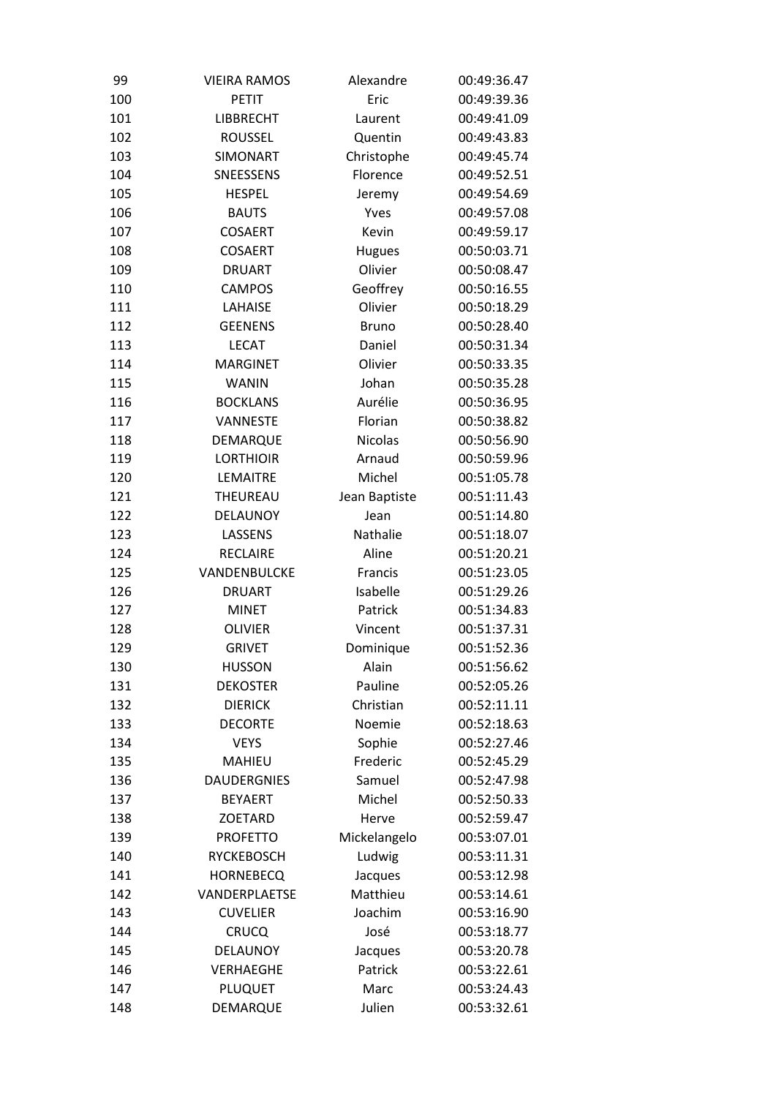| 99  | <b>VIEIRA RAMOS</b> | Alexandre      | 00:49:36.47 |
|-----|---------------------|----------------|-------------|
| 100 | <b>PETIT</b>        | Eric           | 00:49:39.36 |
| 101 | <b>LIBBRECHT</b>    | Laurent        | 00:49:41.09 |
| 102 | <b>ROUSSEL</b>      | Quentin        | 00:49:43.83 |
| 103 | <b>SIMONART</b>     | Christophe     | 00:49:45.74 |
| 104 | SNEESSENS           | Florence       | 00:49:52.51 |
| 105 | <b>HESPEL</b>       | Jeremy         | 00:49:54.69 |
| 106 | <b>BAUTS</b>        | Yves           | 00:49:57.08 |
| 107 | <b>COSAERT</b>      | Kevin          | 00:49:59.17 |
| 108 | <b>COSAERT</b>      | <b>Hugues</b>  | 00:50:03.71 |
| 109 | <b>DRUART</b>       | Olivier        | 00:50:08.47 |
| 110 | <b>CAMPOS</b>       | Geoffrey       | 00:50:16.55 |
| 111 | LAHAISE             | Olivier        | 00:50:18.29 |
| 112 | <b>GEENENS</b>      | <b>Bruno</b>   | 00:50:28.40 |
| 113 | <b>LECAT</b>        | Daniel         | 00:50:31.34 |
| 114 | <b>MARGINET</b>     | Olivier        | 00:50:33.35 |
| 115 | <b>WANIN</b>        | Johan          | 00:50:35.28 |
| 116 | <b>BOCKLANS</b>     | Aurélie        | 00:50:36.95 |
| 117 | <b>VANNESTE</b>     | Florian        | 00:50:38.82 |
| 118 | <b>DEMARQUE</b>     | <b>Nicolas</b> | 00:50:56.90 |
| 119 | <b>LORTHIOIR</b>    | Arnaud         | 00:50:59.96 |
| 120 | LEMAITRE            | Michel         | 00:51:05.78 |
| 121 | THEUREAU            | Jean Baptiste  | 00:51:11.43 |
| 122 | DELAUNOY            | Jean           | 00:51:14.80 |
| 123 | LASSENS             | Nathalie       | 00:51:18.07 |
| 124 | <b>RECLAIRE</b>     | Aline          | 00:51:20.21 |
| 125 | VANDENBULCKE        | Francis        | 00:51:23.05 |
| 126 | <b>DRUART</b>       | Isabelle       | 00:51:29.26 |
| 127 | <b>MINET</b>        | Patrick        | 00:51:34.83 |
| 128 | <b>OLIVIER</b>      | Vincent        | 00:51:37.31 |
| 129 | <b>GRIVET</b>       | Dominique      | 00:51:52.36 |
| 130 | <b>HUSSON</b>       | Alain          | 00:51:56.62 |
| 131 | <b>DEKOSTER</b>     | Pauline        | 00:52:05.26 |
| 132 | <b>DIERICK</b>      | Christian      | 00:52:11.11 |
| 133 | <b>DECORTE</b>      | Noemie         | 00:52:18.63 |
| 134 | <b>VEYS</b>         | Sophie         | 00:52:27.46 |
| 135 | <b>MAHIEU</b>       | Frederic       | 00:52:45.29 |
| 136 | <b>DAUDERGNIES</b>  | Samuel         | 00:52:47.98 |
| 137 | <b>BEYAERT</b>      | Michel         | 00:52:50.33 |
| 138 | <b>ZOETARD</b>      | Herve          | 00:52:59.47 |
| 139 | <b>PROFETTO</b>     | Mickelangelo   | 00:53:07.01 |
| 140 | <b>RYCKEBOSCH</b>   | Ludwig         | 00:53:11.31 |
| 141 | <b>HORNEBECQ</b>    | Jacques        | 00:53:12.98 |
| 142 | VANDERPLAETSE       | Matthieu       | 00:53:14.61 |
| 143 | <b>CUVELIER</b>     | Joachim        | 00:53:16.90 |
| 144 | <b>CRUCQ</b>        | José           | 00:53:18.77 |
| 145 | DELAUNOY            | Jacques        | 00:53:20.78 |
| 146 | <b>VERHAEGHE</b>    | Patrick        | 00:53:22.61 |
| 147 | PLUQUET             | Marc           | 00:53:24.43 |
| 148 | DEMARQUE            | Julien         | 00:53:32.61 |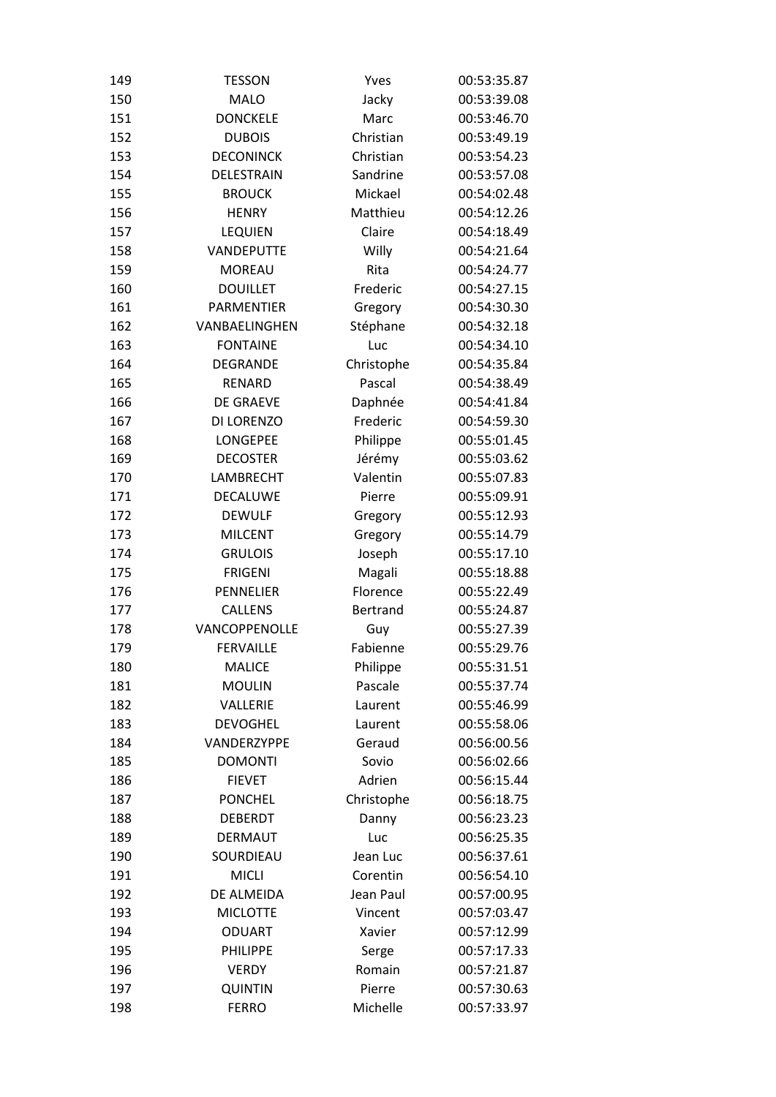| 149 | <b>TESSON</b>     | Yves       | 00:53:35.87 |
|-----|-------------------|------------|-------------|
| 150 | <b>MALO</b>       | Jacky      | 00:53:39.08 |
| 151 | <b>DONCKELE</b>   | Marc       | 00:53:46.70 |
| 152 | <b>DUBOIS</b>     | Christian  | 00:53:49.19 |
| 153 | <b>DECONINCK</b>  | Christian  | 00:53:54.23 |
| 154 | DELESTRAIN        | Sandrine   | 00:53:57.08 |
| 155 | <b>BROUCK</b>     | Mickael    | 00:54:02.48 |
| 156 | <b>HENRY</b>      | Matthieu   | 00:54:12.26 |
| 157 | <b>LEQUIEN</b>    | Claire     | 00:54:18.49 |
| 158 | <b>VANDEPUTTE</b> | Willy      | 00:54:21.64 |
| 159 | <b>MOREAU</b>     | Rita       | 00:54:24.77 |
| 160 | <b>DOUILLET</b>   | Frederic   | 00:54:27.15 |
| 161 | <b>PARMENTIER</b> | Gregory    | 00:54:30.30 |
| 162 | VANBAELINGHEN     | Stéphane   | 00:54:32.18 |
| 163 | <b>FONTAINE</b>   | Luc        | 00:54:34.10 |
| 164 | <b>DEGRANDE</b>   | Christophe | 00:54:35.84 |
| 165 | RENARD            | Pascal     | 00:54:38.49 |
| 166 | <b>DE GRAEVE</b>  | Daphnée    | 00:54:41.84 |
| 167 | DI LORENZO        | Frederic   | 00:54:59.30 |
| 168 | <b>LONGEPEE</b>   | Philippe   | 00:55:01.45 |
| 169 | <b>DECOSTER</b>   | Jérémy     | 00:55:03.62 |
| 170 | LAMBRECHT         | Valentin   | 00:55:07.83 |
| 171 | <b>DECALUWE</b>   | Pierre     | 00:55:09.91 |
| 172 | <b>DEWULF</b>     | Gregory    | 00:55:12.93 |
| 173 | <b>MILCENT</b>    | Gregory    | 00:55:14.79 |
| 174 | <b>GRULOIS</b>    | Joseph     | 00:55:17.10 |
| 175 | <b>FRIGENI</b>    | Magali     | 00:55:18.88 |
| 176 | <b>PENNELIER</b>  | Florence   | 00:55:22.49 |
| 177 | <b>CALLENS</b>    | Bertrand   | 00:55:24.87 |
| 178 | VANCOPPENOLLE     | Guy        | 00:55:27.39 |
| 179 | <b>FERVAILLE</b>  | Fabienne   | 00:55:29.76 |
| 180 | <b>MALICE</b>     | Philippe   | 00:55:31.51 |
| 181 | <b>MOULIN</b>     | Pascale    | 00:55:37.74 |
| 182 | VALLERIE          | Laurent    | 00:55:46.99 |
| 183 | <b>DEVOGHEL</b>   | Laurent    | 00:55:58.06 |
| 184 | VANDERZYPPE       | Geraud     | 00:56:00.56 |
| 185 | <b>DOMONTI</b>    | Sovio      | 00:56:02.66 |
| 186 | <b>FIEVET</b>     | Adrien     | 00:56:15.44 |
| 187 | <b>PONCHEL</b>    | Christophe | 00:56:18.75 |
| 188 | <b>DEBERDT</b>    | Danny      | 00:56:23.23 |
| 189 | <b>DERMAUT</b>    | Luc        | 00:56:25.35 |
| 190 | SOURDIEAU         | Jean Luc   | 00:56:37.61 |
| 191 | <b>MICLI</b>      | Corentin   | 00:56:54.10 |
| 192 | DE ALMEIDA        | Jean Paul  | 00:57:00.95 |
| 193 | <b>MICLOTTE</b>   | Vincent    | 00:57:03.47 |
| 194 | <b>ODUART</b>     | Xavier     | 00:57:12.99 |
| 195 | PHILIPPE          | Serge      | 00:57:17.33 |
| 196 | <b>VERDY</b>      | Romain     | 00:57:21.87 |
| 197 | <b>QUINTIN</b>    | Pierre     | 00:57:30.63 |
| 198 | <b>FERRO</b>      | Michelle   | 00:57:33.97 |
|     |                   |            |             |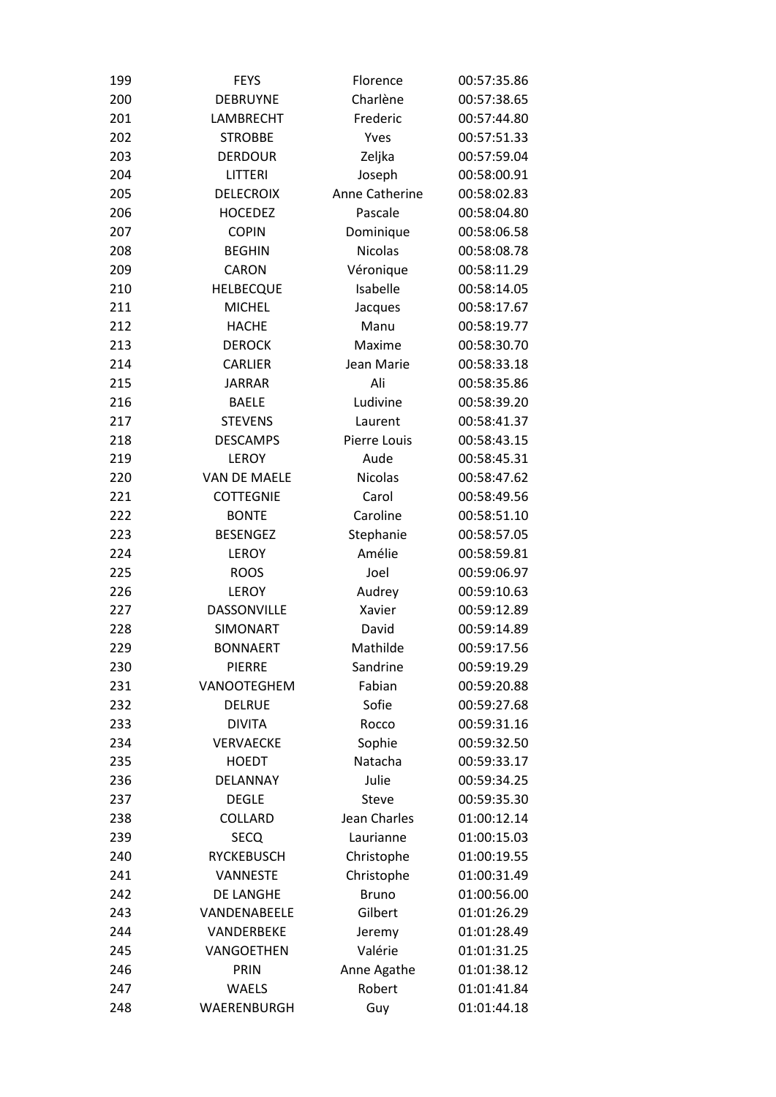| 199 | <b>FEYS</b>         | Florence       | 00:57:35.86 |
|-----|---------------------|----------------|-------------|
| 200 | <b>DEBRUYNE</b>     | Charlène       | 00:57:38.65 |
| 201 | LAMBRECHT           | Frederic       | 00:57:44.80 |
| 202 | <b>STROBBE</b>      | Yves           | 00:57:51.33 |
| 203 | <b>DERDOUR</b>      | Zeljka         | 00:57:59.04 |
| 204 | LITTERI             | Joseph         | 00:58:00.91 |
| 205 | <b>DELECROIX</b>    | Anne Catherine | 00:58:02.83 |
| 206 | <b>HOCEDEZ</b>      | Pascale        | 00:58:04.80 |
| 207 | <b>COPIN</b>        | Dominique      | 00:58:06.58 |
| 208 | <b>BEGHIN</b>       | <b>Nicolas</b> | 00:58:08.78 |
| 209 | CARON               | Véronique      | 00:58:11.29 |
| 210 | <b>HELBECQUE</b>    | Isabelle       | 00:58:14.05 |
| 211 | <b>MICHEL</b>       | Jacques        | 00:58:17.67 |
| 212 | <b>HACHE</b>        | Manu           | 00:58:19.77 |
| 213 | <b>DEROCK</b>       | Maxime         | 00:58:30.70 |
| 214 | <b>CARLIER</b>      | Jean Marie     | 00:58:33.18 |
| 215 | <b>JARRAR</b>       | Ali            | 00:58:35.86 |
| 216 | <b>BAELE</b>        | Ludivine       | 00:58:39.20 |
| 217 | <b>STEVENS</b>      | Laurent        | 00:58:41.37 |
| 218 | <b>DESCAMPS</b>     | Pierre Louis   | 00:58:43.15 |
| 219 | <b>LEROY</b>        | Aude           | 00:58:45.31 |
| 220 | <b>VAN DE MAELE</b> | <b>Nicolas</b> | 00:58:47.62 |
| 221 | <b>COTTEGNIE</b>    | Carol          | 00:58:49.56 |
| 222 | <b>BONTE</b>        | Caroline       | 00:58:51.10 |
| 223 | <b>BESENGEZ</b>     | Stephanie      | 00:58:57.05 |
| 224 | <b>LEROY</b>        | Amélie         | 00:58:59.81 |
| 225 | <b>ROOS</b>         | Joel           | 00:59:06.97 |
| 226 | <b>LEROY</b>        | Audrey         | 00:59:10.63 |
| 227 | <b>DASSONVILLE</b>  | Xavier         | 00:59:12.89 |
| 228 | <b>SIMONART</b>     | David          | 00:59:14.89 |
| 229 | <b>BONNAERT</b>     | Mathilde       | 00:59:17.56 |
| 230 | <b>PIERRE</b>       | Sandrine       | 00:59:19.29 |
| 231 | VANOOTEGHEM         | Fabian         | 00:59:20.88 |
| 232 | <b>DELRUE</b>       | Sofie          | 00:59:27.68 |
| 233 | <b>DIVITA</b>       | Rocco          | 00:59:31.16 |
| 234 | <b>VERVAECKE</b>    | Sophie         | 00:59:32.50 |
| 235 | <b>HOEDT</b>        | Natacha        | 00:59:33.17 |
| 236 | DELANNAY            | Julie          | 00:59:34.25 |
| 237 | <b>DEGLE</b>        | <b>Steve</b>   | 00:59:35.30 |
| 238 | <b>COLLARD</b>      | Jean Charles   | 01:00:12.14 |
| 239 | <b>SECQ</b>         | Laurianne      | 01:00:15.03 |
| 240 | <b>RYCKEBUSCH</b>   | Christophe     | 01:00:19.55 |
| 241 | <b>VANNESTE</b>     | Christophe     | 01:00:31.49 |
| 242 | DE LANGHE           | <b>Bruno</b>   | 01:00:56.00 |
| 243 | VANDENABEELE        | Gilbert        | 01:01:26.29 |
| 244 | VANDERBEKE          | Jeremy         | 01:01:28.49 |
| 245 | VANGOETHEN          | Valérie        | 01:01:31.25 |
| 246 | PRIN                | Anne Agathe    | 01:01:38.12 |
| 247 | <b>WAELS</b>        | Robert         | 01:01:41.84 |
| 248 | WAERENBURGH         |                | 01:01:44.18 |
|     |                     | Guy            |             |